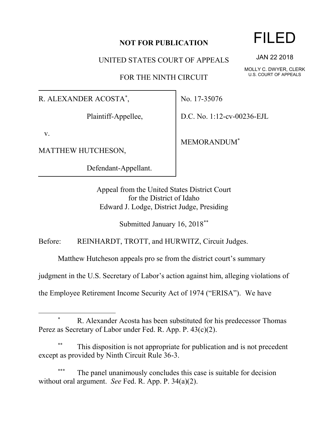## **NOT FOR PUBLICATION**

UNITED STATES COURT OF APPEALS

FOR THE NINTH CIRCUIT

R. ALEXANDER ACOSTA\* ,

Plaintiff-Appellee,

v.

l

MATTHEW HUTCHESON,

Defendant-Appellant.

No. 17-35076

D.C. No. 1:12-cv-00236-EJL

MEMORANDUM\*

Appeal from the United States District Court for the District of Idaho Edward J. Lodge, District Judge, Presiding

Submitted January 16, 2018\*\*

Before: REINHARDT, TROTT, and HURWITZ, Circuit Judges.

Matthew Hutcheson appeals pro se from the district court's summary

judgment in the U.S. Secretary of Labor's action against him, alleging violations of

the Employee Retirement Income Security Act of 1974 ("ERISA"). We have

## R. Alexander Acosta has been substituted for his predecessor Thomas Perez as Secretary of Labor under Fed. R. App. P. 43(c)(2).

This disposition is not appropriate for publication and is not precedent except as provided by Ninth Circuit Rule 36-3.

The panel unanimously concludes this case is suitable for decision without oral argument. *See* Fed. R. App. P. 34(a)(2).

## FILED

JAN 22 2018

MOLLY C. DWYER, CLERK U.S. COURT OF APPEALS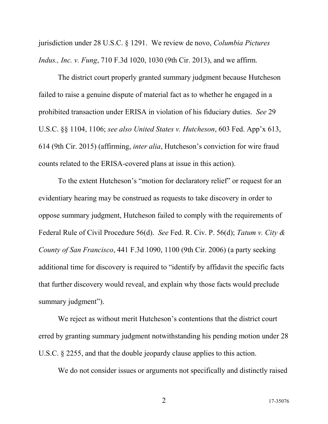jurisdiction under 28 U.S.C. § 1291. We review de novo, *Columbia Pictures Indus., Inc. v. Fung*, 710 F.3d 1020, 1030 (9th Cir. 2013), and we affirm.

The district court properly granted summary judgment because Hutcheson failed to raise a genuine dispute of material fact as to whether he engaged in a prohibited transaction under ERISA in violation of his fiduciary duties. *See* 29 U.S.C. §§ 1104, 1106; *see also United States v. Hutcheson*, 603 Fed. App'x 613, 614 (9th Cir. 2015) (affirming, *inter alia*, Hutcheson's conviction for wire fraud counts related to the ERISA-covered plans at issue in this action).

To the extent Hutcheson's "motion for declaratory relief" or request for an evidentiary hearing may be construed as requests to take discovery in order to oppose summary judgment, Hutcheson failed to comply with the requirements of Federal Rule of Civil Procedure 56(d). *See* Fed. R. Civ. P. 56(d); *Tatum v. City & County of San Francisco*, 441 F.3d 1090, 1100 (9th Cir. 2006) (a party seeking additional time for discovery is required to "identify by affidavit the specific facts that further discovery would reveal, and explain why those facts would preclude summary judgment").

We reject as without merit Hutcheson's contentions that the district court erred by granting summary judgment notwithstanding his pending motion under 28 U.S.C. § 2255, and that the double jeopardy clause applies to this action.

We do not consider issues or arguments not specifically and distinctly raised